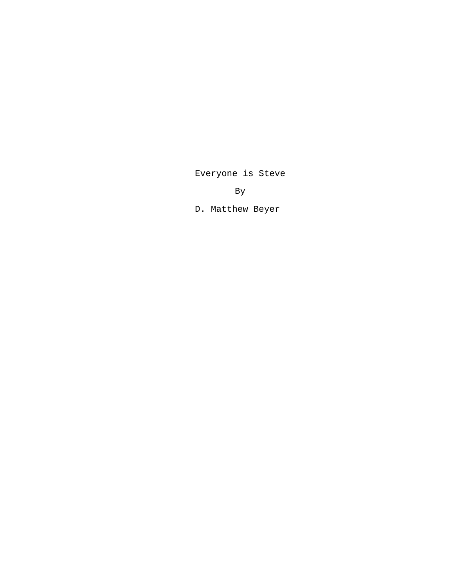Everyone is Steve

By

D. Matthew Beyer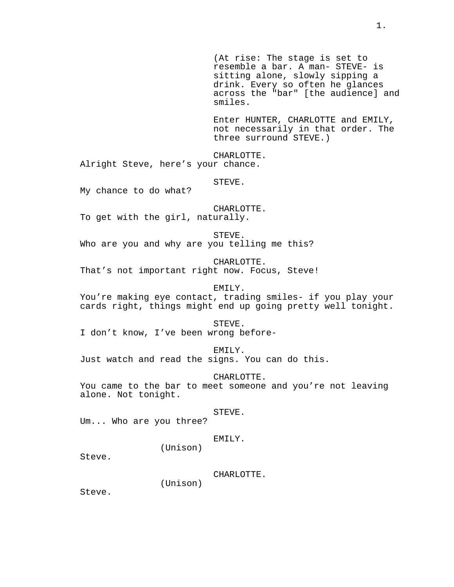(At rise: The stage is set to resemble a bar. A man- STEVE- is sitting alone, slowly sipping a drink. Every so often he glances across the "bar" [the audience] and smiles.

Enter HUNTER, CHARLOTTE and EMILY, not necessarily in that order. The three surround STEVE.)

CHARLOTTE. Alright Steve, here's your chance.

STEVE.

My chance to do what?

CHARLOTTE.

To get with the girl, naturally.

STEVE. Who are you and why are you telling me this?

CHARLOTTE. That's not important right now. Focus, Steve!

EMILY. You're making eye contact, trading smiles- if you play your cards right, things might end up going pretty well tonight.

STEVE. I don't know, I've been wrong before-

EMILY. Just watch and read the signs. You can do this.

CHARLOTTE. You came to the bar to meet someone and you're not leaving alone. Not tonight.

STEVE.

Um... Who are you three?

EMILY.

Steve.

CHARLOTTE.

(Unison)

(Unison)

Steve.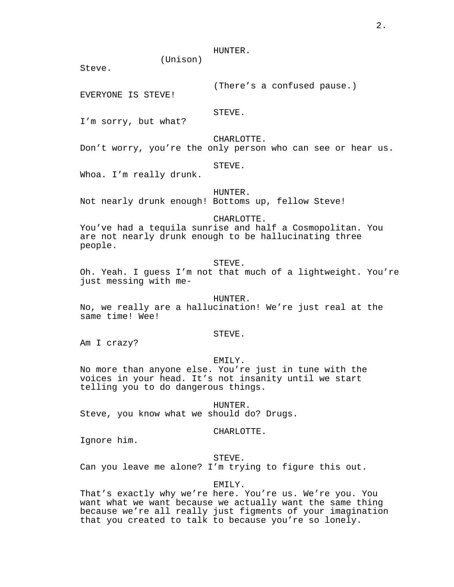# HUNTER.

(Unison)

Steve.

(There's a confused pause.)

EVERYONE IS STEVE!

STEVE.

I'm sorry, but what?

CHARLOTTE.

Don't worry, you're the only person who can see or hear us.

#### STEVE.

Whoa. I'm really drunk.

HUNTER.

Not nearly drunk enough! Bottoms up, fellow Steve!

CHARLOTTE.

You've had a tequila sunrise and half a Cosmopolitan. You are not nearly drunk enough to be hallucinating three people.

STEVE.

Oh. Yeah. I guess I'm not that much of a lightweight. You're just messing with me-

HUNTER.

No, we really are a hallucination! We're just real at the same time! Wee!

#### STEVE.

Am I crazy?

#### EMILY.

No more than anyone else. You're just in tune with the voices in your head. It's not insanity until we start telling you to do dangerous things.

HUNTER.

Steve, you know what we should do? Drugs.

#### CHARLOTTE.

Ignore him.

# STEVE.

Can you leave me alone? I'm trying to figure this out.

# EMILY.

That's exactly why we're here. You're us. We're you. You want what we want because we actually want the same thing because we're all really just figments of your imagination that you created to talk to because you're so lonely.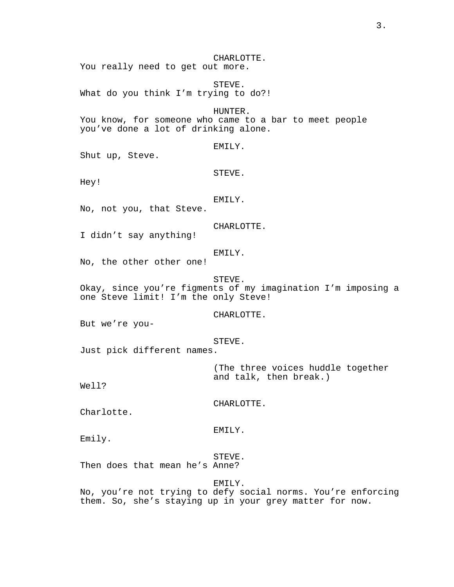CHARLOTTE. You really need to get out more.

STEVE. What do you think I'm trying to do?!

HUNTER. You know, for someone who came to a bar to meet people you've done a lot of drinking alone.

## EMILY.

Shut up, Steve.

STEVE.

Hey!

# EMILY.

No, not you, that Steve.

CHARLOTTE.

I didn't say anything!

# EMILY.

No, the other other one!

STEVE.

Okay, since you're figments of my imagination I'm imposing a one Steve limit! I'm the only Steve!

CHARLOTTE.

But we're you-

STEVE.

Just pick different names.

(The three voices huddle together and talk, then break.)

Well?

CHARLOTTE.

Charlotte.

EMILY.

Emily.

### STEVE.

Then does that mean he's Anne?

EMILY.

No, you're not trying to defy social norms. You're enforcing them. So, she's staying up in your grey matter for now.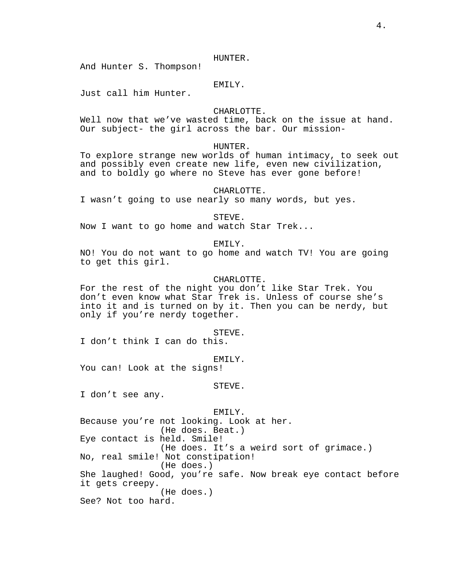HUNTER.

And Hunter S. Thompson!

# EMILY.

Just call him Hunter.

# CHARLOTTE.

Well now that we've wasted time, back on the issue at hand. Our subject- the girl across the bar. Our mission-

# HUNTER.

To explore strange new worlds of human intimacy, to seek out and possibly even create new life, even new civilization, and to boldly go where no Steve has ever gone before!

## CHARLOTTE.

I wasn't going to use nearly so many words, but yes.

#### STEVE.

Now I want to go home and watch Star Trek...

EMILY.

NO! You do not want to go home and watch TV! You are going to get this girl.

#### CHARLOTTE.

For the rest of the night you don't like Star Trek. You don't even know what Star Trek is. Unless of course she's into it and is turned on by it. Then you can be nerdy, but only if you're nerdy together.

STEVE.

I don't think I can do this.

#### EMILY.

You can! Look at the signs!

#### STEVE.

I don't see any.

EMILY. Because you're not looking. Look at her. (He does. Beat.) Eye contact is held. Smile! (He does. It's a weird sort of grimace.) No, real smile! Not constipation! (He does.) She laughed! Good, you're safe. Now break eye contact before it gets creepy. (He does.) See? Not too hard.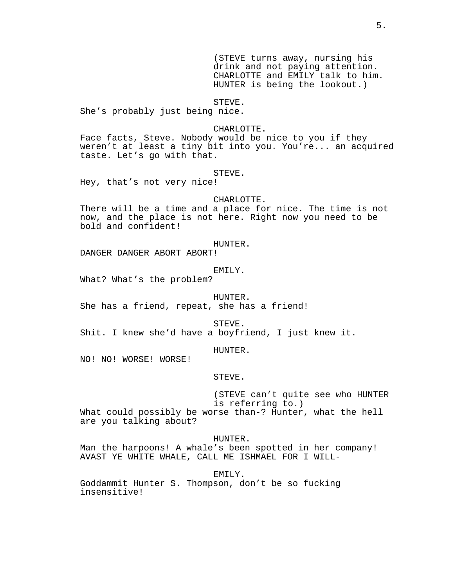(STEVE turns away, nursing his drink and not paying attention. CHARLOTTE and EMILY talk to him. HUNTER is being the lookout.)

### STEVE.

She's probably just being nice.

### CHARLOTTE.

Face facts, Steve. Nobody would be nice to you if they weren't at least a tiny bit into you. You're... an acquired taste. Let's go with that.

STEVE.

Hey, that's not very nice!

# CHARLOTTE.

There will be a time and a place for nice. The time is not now, and the place is not here. Right now you need to be bold and confident!

#### HUNTER.

DANGER DANGER ABORT ABORT!

# EMILY.

What? What's the problem?

HUNTER.

She has a friend, repeat, she has a friend!

STEVE.

Shit. I knew she'd have a boyfriend, I just knew it.

HUNTER.

NO! NO! WORSE! WORSE!

STEVE.

(STEVE can't quite see who HUNTER is referring to.)

What could possibly be worse than-? Hunter, what the hell are you talking about?

HUNTER.

Man the harpoons! A whale's been spotted in her company! AVAST YE WHITE WHALE, CALL ME ISHMAEL FOR I WILL-

EMILY.

Goddammit Hunter S. Thompson, don't be so fucking insensitive!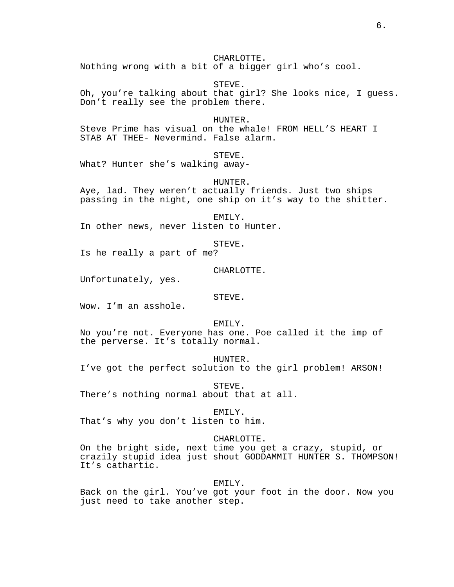6.

CHARLOTTE.

Nothing wrong with a bit of a bigger girl who's cool.

STEVE. Oh, you're talking about that girl? She looks nice, I guess. Don't really see the problem there.

HUNTER.

Steve Prime has visual on the whale! FROM HELL'S HEART I STAB AT THEE- Nevermind. False alarm.

STEVE.

What? Hunter she's walking away-

HUNTER.

Aye, lad. They weren't actually friends. Just two ships passing in the night, one ship on it's way to the shitter.

EMILY.

In other news, never listen to Hunter.

STEVE.

Is he really a part of me?

CHARLOTTE.

Unfortunately, yes.

STEVE.

Wow. I'm an asshole.

EMILY.

No you're not. Everyone has one. Poe called it the imp of the perverse. It's totally normal.

HUNTER.

I've got the perfect solution to the girl problem! ARSON!

STEVE. There's nothing normal about that at all.

EMILY.

That's why you don't listen to him.

# CHARLOTTE.

On the bright side, next time you get a crazy, stupid, or crazily stupid idea just shout GODDAMMIT HUNTER S. THOMPSON! It's cathartic.

### EMILY.

Back on the girl. You've got your foot in the door. Now you just need to take another step.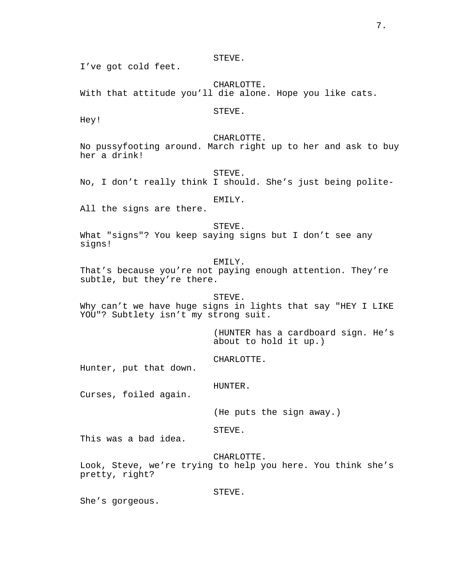STEVE.

I've got cold feet.

CHARLOTTE. With that attitude you'll die alone. Hope you like cats.

STEVE.

Hey!

CHARLOTTE.

No pussyfooting around. March right up to her and ask to buy her a drink!

STEVE. No, I don't really think I should. She's just being polite-

EMILY.

All the signs are there.

STEVE. What "signs"? You keep saying signs but I don't see any signs!

EMILY.

That's because you're not paying enough attention. They're subtle, but they're there.

STEVE. Why can't we have huge signs in lights that say "HEY I LIKE YOU"? Subtlety isn't my strong suit.

> (HUNTER has a cardboard sign. He's about to hold it up.)

CHARLOTTE.

Hunter, put that down.

HUNTER.

Curses, foiled again.

(He puts the sign away.)

STEVE.

This was a bad idea.

CHARLOTTE.

Look, Steve, we're trying to help you here. You think she's pretty, right?

STEVE.

She's gorgeous.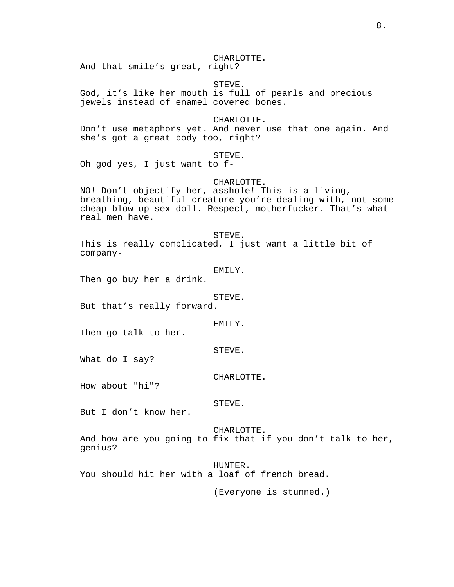CHARLOTTE.

And that smile's great, right?

STEVE.

God, it's like her mouth is full of pearls and precious jewels instead of enamel covered bones.

CHARLOTTE.

Don't use metaphors yet. And never use that one again. And she's got a great body too, right?

STEVE.

Oh god yes, I just want to f-

CHARLOTTE.

NO! Don't objectify her, asshole! This is a living, breathing, beautiful creature you're dealing with, not some cheap blow up sex doll. Respect, motherfucker. That's what real men have.

STEVE. This is really complicated, I just want a little bit of company-

EMILY.

Then go buy her a drink.

STEVE.

But that's really forward.

EMILY.

Then go talk to her.

STEVE.

What do I say?

CHARLOTTE.

How about "hi"?

STEVE.

But I don't know her.

CHARLOTTE. And how are you going to fix that if you don't talk to her, genius?

HUNTER. You should hit her with a loaf of french bread.

(Everyone is stunned.)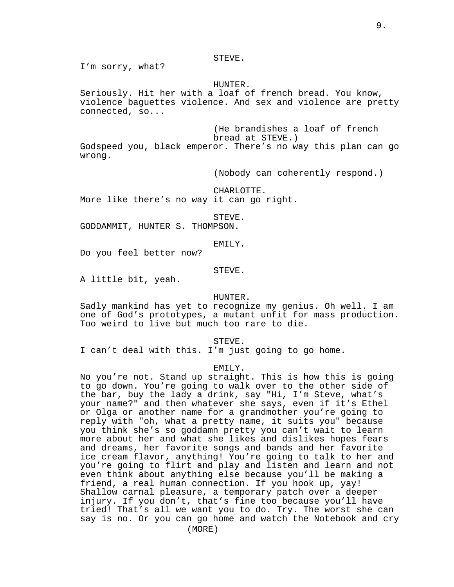#### STEVE.

I'm sorry, what?

## HUNTER.

Seriously. Hit her with a loaf of french bread. You know, violence baguettes violence. And sex and violence are pretty connected, so...

(He brandishes a loaf of french bread at STEVE.) Godspeed you, black emperor. There's no way this plan can go wrong.

(Nobody can coherently respond.)

CHARLOTTE.

More like there's no way it can go right.

STEVE.

GODDAMMIT, HUNTER S. THOMPSON.

EMILY.

Do you feel better now?

STEVE.

A little bit, yeah.

# HUNTER.

Sadly mankind has yet to recognize my genius. Oh well. I am one of God's prototypes, a mutant unfit for mass production. Too weird to live but much too rare to die.

STEVE.

I can't deal with this. I'm just going to go home.

## EMILY.

No you're not. Stand up straight. This is how this is going to go down. You're going to walk over to the other side of the bar, buy the lady a drink, say "Hi, I'm Steve, what's your name?" and then whatever she says, even if it's Ethel or Olga or another name for a grandmother you're going to reply with "oh, what a pretty name, it suits you" because you think she's so goddamn pretty you can't wait to learn more about her and what she likes and dislikes hopes fears and dreams, her favorite songs and bands and her favorite ice cream flavor, anything! You're going to talk to her and you're going to flirt and play and listen and learn and not even think about anything else because you'll be making a friend, a real human connection. If you hook up, yay! Shallow carnal pleasure, a temporary patch over a deeper injury. If you don't, that's fine too because you'll have tried! That's all we want you to do. Try. The worst she can say is no. Or you can go home and watch the Notebook and cry